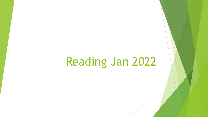# Reading Jan 2022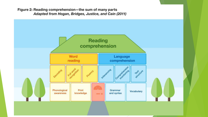Figure 2: Reading comprehension-the sum of many parts Adapted from Hogan, Bridges, Justice, and Cain (2011)

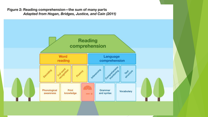Figure 2: Reading comprehension-the sum of many parts Adapted from Hogan, Bridges, Justice, and Cain (2011)

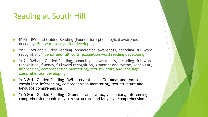### Reading at South Hill

- EYFS RWI and Guided Reading (Foundation) phonological awareness, decoding. Full word recognition developing.
- ▶ Yr 1 RWI and Guided Reading, phonological awareness, decoding, full word recognition. Fluency and full word recognition word reading developing.
- ▶ Yr 2 RWI and Guided Reading, phonological awareness, decoding, full word recognition, fluency, full word recognition, grammar and syntax, vocabulary. Inferencing, comprehension monitoring, text structure and language comprehension developing.
- ▶ Yr 3 & 4 Guided Reading (RWI interventions) Grammar and syntax, vocabulary, inferencing, comprehension monitoring, text structure and language comprehension.
- ▶ Yr 5 & 6 Guided Reading Grammar and syntax, vocabulary, inferencing, comprehension monitoring, text structure and language comprehension.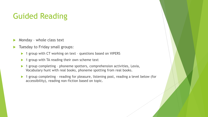# Guided Reading

- Monday whole class text
- Tuesday to Friday small groups:
	- ▶ 1 group with CT working on text questions based on VIPERS
	- ▶ 1 group with TA reading their own scheme text
	- ▶ 1 group completing phoneme spotters, comprehension activities, Lexia, Vocabulary hunt with real books, phoneme spotting from real books.
	- ▶ 1 group completing reading for pleasure, listening post, reading a level below (for accessibility), reading non-fiction based on topic.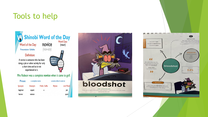# Tools to help



| rillases. | a complete hovice |                 | a hovice when it came to |                  |
|-----------|-------------------|-----------------|--------------------------|------------------|
| Synonym:  | Antonym:          | Prefix / Suffix | Rhyme:                   | <b>Link Word</b> |
| beginner  | expert            | -s              |                          | job              |
| learner   | veteran           |                 |                          | sport            |



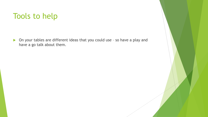### Tools to help

 On your tables are different ideas that you could use – so have a play and have a go talk about them.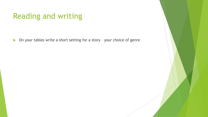### Reading and writing

▶ On your tables write a short setting for a story - your choice of genre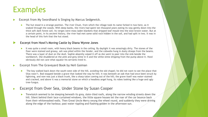### Examples

#### Excerpt from My Swordhand is Singing by Marcus Sedgewick.

 $\triangleright$  The hut stood in a strange position. The river Chust, from which the village took its name forked in two here, as it snaked through the woods. With deep banks, the rivers had spent ten thousand years eating its way gently down into the thick soft dark forest soil. Its verges were moss laden blankets that dripped leaf mould into the slow brown water. But at a certain point, in its ancient history, the river had met some solid rock hidden in the soil, and had split in two. It was in the head of this fork that the hut stood.

#### Excerpt from Howl's Moving Castle by Diana Wynne Jones

It was quite a small room, with heavy black beams in the ceiling. By daylight it was amazingly dirty. The stones of the floor were stained and greasy, ash was piled within the fender, and the cobwebs hung in dusty droops from the beams. There was a layer of dust on the skull. Sophie absently wiped it off as she went to peer into the sink beside the workbench. She shuddered at the pink and grey slime in it and the white slime dripping from the pump above it. Howl obviously did not care what squalor his servants lived in.

#### Excerpt from The Graveyard Book by Neil Gaiman

 The boy walked back down the south-west side of the hill, avoiding the old chapel; he did not want to see the place that Silas wasn't. Bod stopped beside a grave that looked the way he felt; it was beneath an oak that had once been struck by lightning, and now was just a black trunk, like a sharp talon coming out of the hill; the grave itself was water-stained and cracked, and above it was a memorial stone on which a headless angel hung, its robes looking like a huge and ugly tree-fungus.

#### Excerpt from Over Sea, Under Stone by Susan Cooper

**Trewissick seemed to be sleeping beneath its grey, slate-tiled roofs, along the narrow winding streets down the** hill. Silent behind their lace-curtained windows, the little square houses let the roar of the car bounce back from their whitewashed walls. Then Great Uncle Merry swung the wheel round, and suddenly they were driving along the edge of the harbour, past water rippling and flashing golden in the afternoon sun.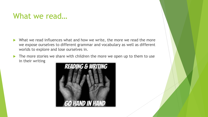### What we read…

- What we read influences what and how we write, the more we read the more we expose ourselves to different grammar and vocabulary as well as different worlds to explore and lose ourselves in.
- The more stories we share with children the more we open up to them to use in their writing